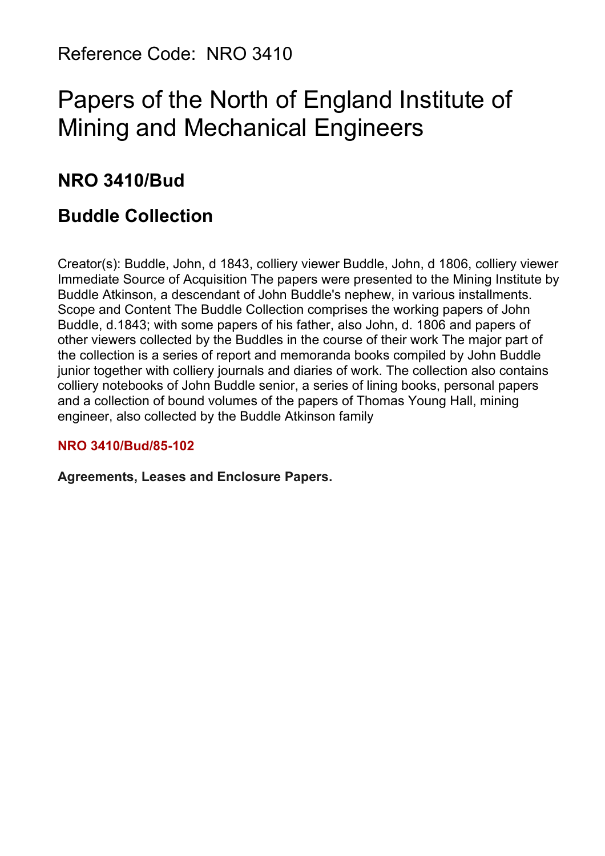Reference Code: NRO 3410

# Papers of the North of England Institute of Mining and Mechanical Engineers

# **NRO 3410/Bud**

# **Buddle Collection**

Creator(s): Buddle, John, d 1843, colliery viewer Buddle, John, d 1806, colliery viewer Immediate Source of Acquisition The papers were presented to the Mining Institute by Buddle Atkinson, a descendant of John Buddle's nephew, in various installments. Scope and Content The Buddle Collection comprises the working papers of John Buddle, d.1843; with some papers of his father, also John, d. 1806 and papers of other viewers collected by the Buddles in the course of their work The major part of the collection is a series of report and memoranda books compiled by John Buddle junior together with colliery journals and diaries of work. The collection also contains colliery notebooks of John Buddle senior, a series of lining books, personal papers and a collection of bound volumes of the papers of Thomas Young Hall, mining engineer, also collected by the Buddle Atkinson family

# **NRO 3410/Bud/85-102**

**Agreements, Leases and Enclosure Papers.**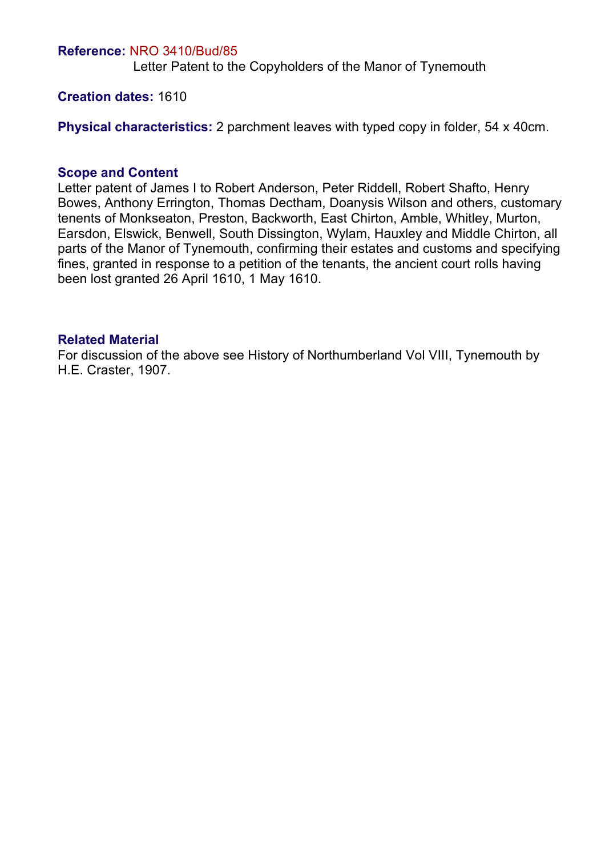#### **Reference:** NRO 3410/Bud/85

Letter Patent to the Copyholders of the Manor of Tynemouth

#### **Creation dates:** 1610

**Physical characteristics:** 2 parchment leaves with typed copy in folder, 54 x 40cm.

#### **Scope and Content**

Letter patent of James I to Robert Anderson, Peter Riddell, Robert Shafto, Henry Bowes, Anthony Errington, Thomas Dectham, Doanysis Wilson and others, customary tenents of Monkseaton, Preston, Backworth, East Chirton, Amble, Whitley, Murton, Earsdon, Elswick, Benwell, South Dissington, Wylam, Hauxley and Middle Chirton, all parts of the Manor of Tynemouth, confirming their estates and customs and specifying fines, granted in response to a petition of the tenants, the ancient court rolls having been lost granted 26 April 1610, 1 May 1610.

#### **Related Material**

For discussion of the above see History of Northumberland Vol VIII, Tynemouth by H.E. Craster, 1907.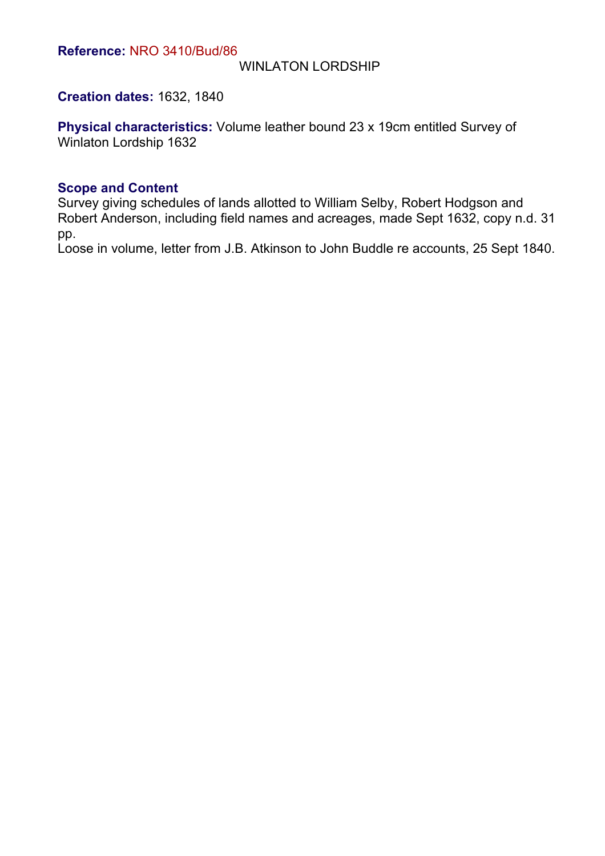### WINLATON LORDSHIP

# **Creation dates:** 1632, 1840

**Physical characteristics:** Volume leather bound 23 x 19cm entitled Survey of Winlaton Lordship 1632

#### **Scope and Content**

Survey giving schedules of lands allotted to William Selby, Robert Hodgson and Robert Anderson, including field names and acreages, made Sept 1632, copy n.d. 31 pp.

Loose in volume, letter from J.B. Atkinson to John Buddle re accounts, 25 Sept 1840.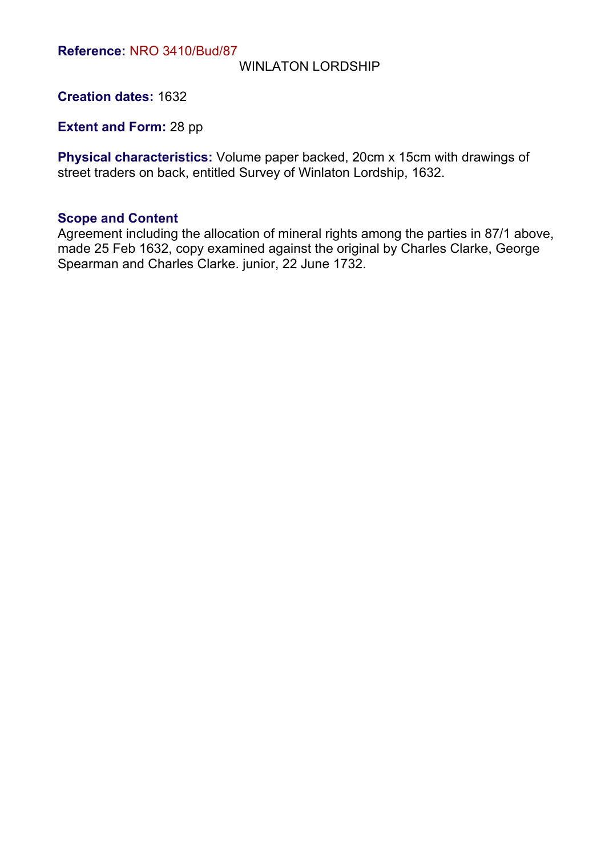### WINLATON LORDSHIP

**Creation dates:** 1632

**Extent and Form: 28 pp** 

**Physical characteristics:** Volume paper backed, 20cm x 15cm with drawings of street traders on back, entitled Survey of Winlaton Lordship, 1632.

#### **Scope and Content**

Agreement including the allocation of mineral rights among the parties in 87/1 above, made 25 Feb 1632, copy examined against the original by Charles Clarke, George Spearman and Charles Clarke. junior, 22 June 1732.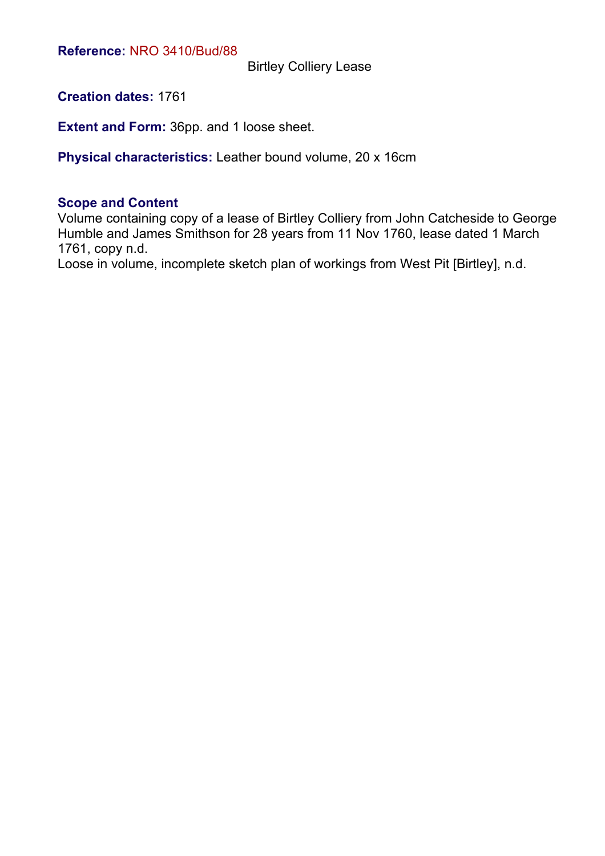Birtley Colliery Lease

**Creation dates:** 1761

**Extent and Form:** 36pp. and 1 loose sheet.

**Physical characteristics:** Leather bound volume, 20 x 16cm

#### **Scope and Content**

Volume containing copy of a lease of Birtley Colliery from John Catcheside to George Humble and James Smithson for 28 years from 11 Nov 1760, lease dated 1 March 1761, copy n.d.

Loose in volume, incomplete sketch plan of workings from West Pit [Birtley], n.d.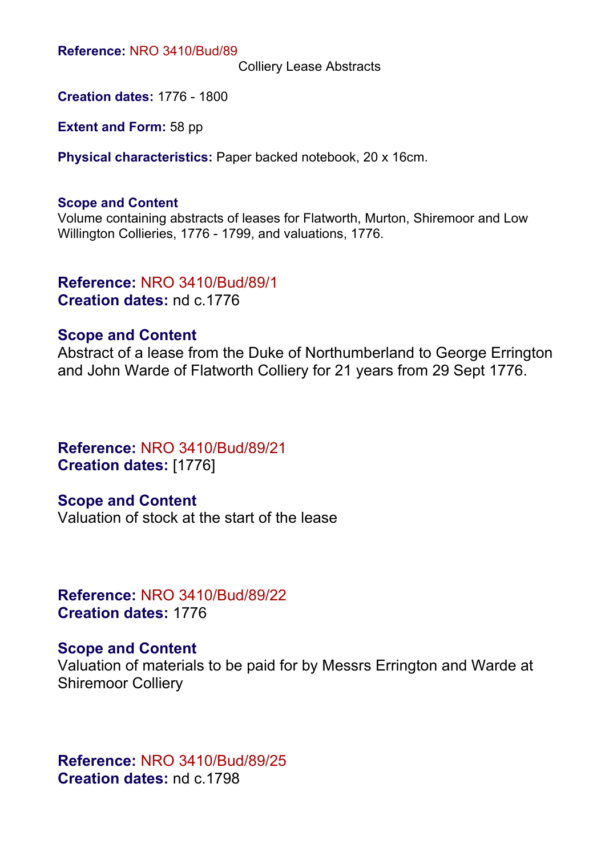**Reference:** NRO 3410/Bud/89

Colliery Lease Abstracts

**Creation dates:** 1776 - 1800

**Extent and Form:** 58 pp

**Physical characteristics:** Paper backed notebook, 20 x 16cm.

#### **Scope and Content**

Volume containing abstracts of leases for Flatworth, Murton, Shiremoor and Low Willington Collieries, 1776 - 1799, and valuations, 1776.

# **Reference:** NRO 3410/Bud/89/1 **Creation dates:** nd c.1776

# **Scope and Content**

Abstract of a lease from the Duke of Northumberland to George Errington and John Warde of Flatworth Colliery for 21 years from 29 Sept 1776.

# **Reference:** NRO 3410/Bud/89/21 **Creation dates:** [1776]

**Scope and Content** Valuation of stock at the start of the lease

**Reference:** NRO 3410/Bud/89/22 **Creation dates:** 1776

# **Scope and Content**

Valuation of materials to be paid for by Messrs Errington and Warde at Shiremoor Colliery

**Reference:** NRO 3410/Bud/89/25 **Creation dates:** nd c.1798